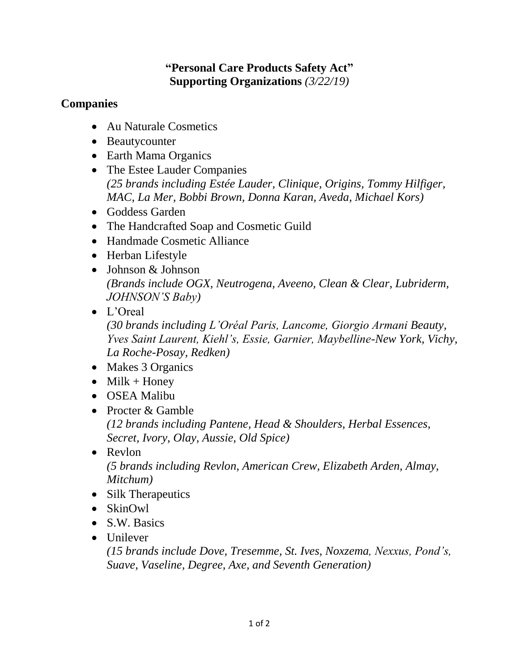## **"Personal Care Products Safety Act" Supporting Organizations** *(3/22/19)*

## **Companies**

- Au Naturale Cosmetics
- Beautycounter
- Earth Mama Organics
- The Estee Lauder Companies *(25 brands including Estée Lauder, Clinique, Origins, Tommy Hilfiger, MAC, La Mer, Bobbi Brown, Donna Karan, Aveda, Michael Kors)*
- Goddess Garden
- The Handcrafted Soap and Cosmetic Guild
- Handmade Cosmetic Alliance
- Herban Lifestyle
- Johnson & Johnson *(Brands include OGX, Neutrogena, Aveeno, Clean & Clear, Lubriderm, JOHNSON'S Baby)*
- L'Oreal *(30 brands including L'Oréal Paris, Lancome, Giorgio Armani Beauty, Yves Saint Laurent, Kiehl's, Essie, Garnier, Maybelline-New York, Vichy, La Roche-Posay, Redken)*
- Makes 3 Organics
- $\bullet$  Milk + Honey
- OSEA Malibu
- Procter & Gamble *(12 brands including Pantene, Head & Shoulders, Herbal Essences, Secret, Ivory, Olay, Aussie, Old Spice)*
- Revlon *(5 brands including Revlon, American Crew, Elizabeth Arden, Almay, Mitchum)*
- Silk Therapeutics
- SkinOwl
- S.W. Basics
- Unilever

*(15 brands include Dove, Tresemme, St. Ives, Noxzema, Nexxus, Pond's, Suave, Vaseline, Degree, Axe, and Seventh Generation)*